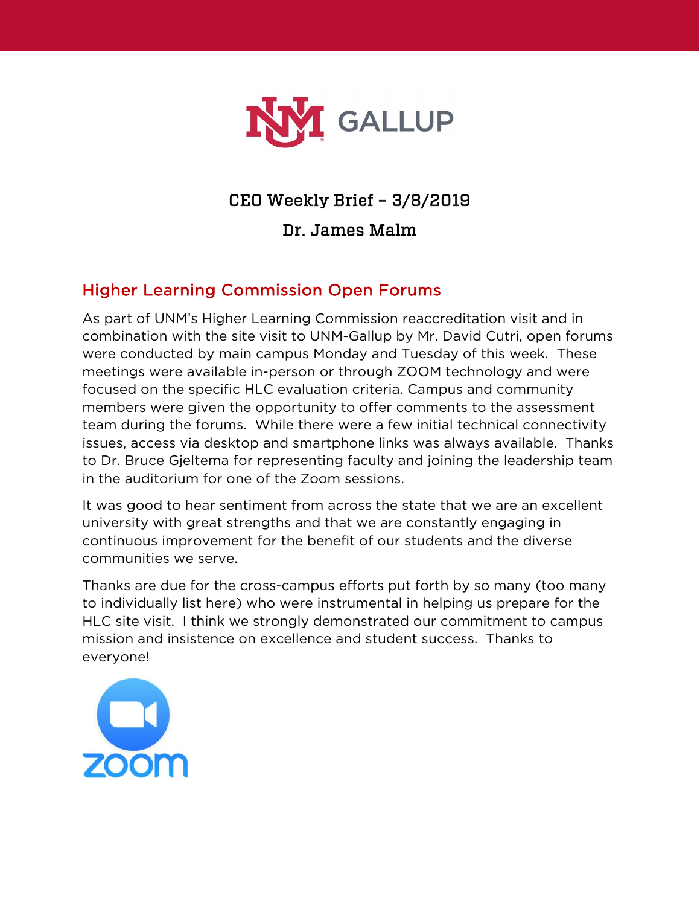

# CEO Weekly Brief – 3/8/2019

#### Dr. James Malm

# Higher Learning Commission Open Forums

As part of UNM's Higher Learning Commission reaccreditation visit and in combination with the site visit to UNM-Gallup by Mr. David Cutri, open forums were conducted by main campus Monday and Tuesday of this week. These meetings were available in-person or through ZOOM technology and were focused on the specific HLC evaluation criteria. Campus and community members were given the opportunity to offer comments to the assessment team during the forums. While there were a few initial technical connectivity issues, access via desktop and smartphone links was always available. Thanks to Dr. Bruce Gjeltema for representing faculty and joining the leadership team in the auditorium for one of the Zoom sessions.

It was good to hear sentiment from across the state that we are an excellent university with great strengths and that we are constantly engaging in continuous improvement for the benefit of our students and the diverse communities we serve.

Thanks are due for the cross-campus efforts put forth by so many (too many to individually list here) who were instrumental in helping us prepare for the HLC site visit. I think we strongly demonstrated our commitment to campus mission and insistence on excellence and student success. Thanks to everyone!

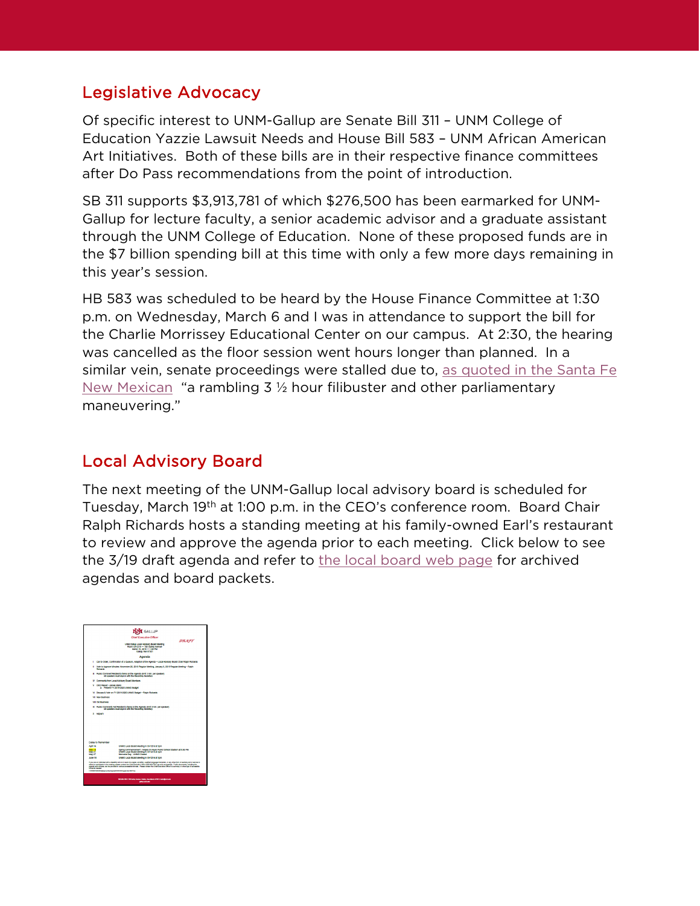#### Legislative Advocacy

Of specific interest to UNM-Gallup are Senate Bill 311 – UNM College of Education Yazzie Lawsuit Needs and House Bill 583 – UNM African American Art Initiatives. Both of these bills are in their respective finance committees after Do Pass recommendations from the point of introduction.

SB 311 supports \$3,913,781 of which \$276,500 has been earmarked for UNM-Gallup for lecture faculty, a senior academic advisor and a graduate assistant through the UNM College of Education. None of these proposed funds are in the \$7 billion spending bill at this time with only a few more days remaining in this year's session.

HB 583 was scheduled to be heard by the House Finance Committee at 1:30 p.m. on Wednesday, March 6 and I was in attendance to support the bill for the Charlie Morrissey Educational Center on our campus. At 2:30, the hearing was cancelled as the floor session went hours longer than planned. In a similar vein, senate proceedings were stalled due to, as quoted in the Santa Fe [New Mexican](https://www.santafenewmexican.com/news/legislature/after-filibuster-senate-oks-power-plant-shutdown-bill/article_cd917a58-b3f0-5057-8e32-d3c0578efafe.html) "a rambling 3  $\frac{1}{2}$  hour filibuster and other parliamentary maneuvering."

#### Local Advisory Board

The next meeting of the UNM-Gallup local advisory board is scheduled for Tuesday, March 19th at 1:00 p.m. in the CEO's conference room. Board Chair Ralph Richards hosts a standing meeting at his family-owned Earl's restaurant to review and approve the agenda prior to each meeting. Click below to see the 3/19 draft agenda and refer to [the local board web page](https://gallup.unm.edu/administration/localboard/) for archived agendas and board packets.

|                                   | GALLUP                                                                                                                                                                                                                                                                                                                                                                                                                                                                           |       |
|-----------------------------------|----------------------------------------------------------------------------------------------------------------------------------------------------------------------------------------------------------------------------------------------------------------------------------------------------------------------------------------------------------------------------------------------------------------------------------------------------------------------------------|-------|
|                                   | <b>Chief Executive Officer</b>                                                                                                                                                                                                                                                                                                                                                                                                                                                   |       |
|                                   | UNM Galup Local Advisory Board Meeting<br>Room GH1216 - 705 Guney Avenue<br>March 19, 2019 - 1:00 PM<br>Gallup, NM 67301                                                                                                                                                                                                                                                                                                                                                         | DRAFT |
|                                   | Anenda                                                                                                                                                                                                                                                                                                                                                                                                                                                                           |       |
| ٠                                 | Call to Order, Confirmation of a Quorum, Adoption of the Agenda - Local Advisory Doard Chair Ralph Richards                                                                                                                                                                                                                                                                                                                                                                      |       |
| <b>Richards</b>                   | II Vote to Approve Minutes: November 20, 2018 Require Meeting, January 8, 2019 Require Meeting - Rajph                                                                                                                                                                                                                                                                                                                                                                           |       |
|                                   | III Public Comment Resited to Berns on the Agenda (timit 3 min. per speaker)<br>All speakers must sign in with the Recording Searsfary                                                                                                                                                                                                                                                                                                                                           |       |
|                                   | IV Commerts from Local Advisory Doard Members                                                                                                                                                                                                                                                                                                                                                                                                                                    |       |
| V CEO Report - James Mann         | 3. Present FY 2019-2020 UNM3 Budget                                                                                                                                                                                                                                                                                                                                                                                                                                              |       |
|                                   | VI Discuss & Vole on FY 2019-2020 UNMS Budget - Ratch Richards                                                                                                                                                                                                                                                                                                                                                                                                                   |       |
| VII New Rusiness                  |                                                                                                                                                                                                                                                                                                                                                                                                                                                                                  |       |
| <b>VIE OUT NUCKER</b>             |                                                                                                                                                                                                                                                                                                                                                                                                                                                                                  |       |
|                                   | IX Public Commercia Not Related to herris on the Agenda (limit 3 min. per speaker)<br>All speakers must sign in with the Recording Searstery                                                                                                                                                                                                                                                                                                                                     |       |
| X Adount                          |                                                                                                                                                                                                                                                                                                                                                                                                                                                                                  |       |
|                                   |                                                                                                                                                                                                                                                                                                                                                                                                                                                                                  |       |
|                                   |                                                                                                                                                                                                                                                                                                                                                                                                                                                                                  |       |
|                                   |                                                                                                                                                                                                                                                                                                                                                                                                                                                                                  |       |
|                                   |                                                                                                                                                                                                                                                                                                                                                                                                                                                                                  |       |
| <b>Dates In Remember</b>          |                                                                                                                                                                                                                                                                                                                                                                                                                                                                                  |       |
| <b>ADD 16</b>                     | UNMC Local Board Meeting in CH1216 at 1pm                                                                                                                                                                                                                                                                                                                                                                                                                                        |       |
| May 10<br>May 21<br><b>May 27</b> | Spring Commercement - Angelo DI Paulo Public School Stadium at 6:00 PM<br>UNMO Local board Meeting in GH1216 at forn<br>Memorial Day - UNIMS Closed                                                                                                                                                                                                                                                                                                                              |       |
| Aine 18                           | UNMC Local Board Meeting in CH1216 at 1pm                                                                                                                                                                                                                                                                                                                                                                                                                                        |       |
|                                   | If you are an individual with a disability who is in need of a reader, anglified, qualified language interpreter, or any other form of equiliany either service to<br>stand or perfolioirs in the meeting, please contact the Chief Executive Office (505-685-7501) as soon as possible. Public documents, including the<br>arenda and relicious can be provided in various anneality furnate. Please contact the Chief Teacutive Critical Fa summary or other how of anneality. |       |
| formet is needed.                 | A CONSENSION COMPUTER SHOPLIFTING IN THE SAFE CARD COMPANY COMPUTER IN THE SAFE CARD                                                                                                                                                                                                                                                                                                                                                                                             |       |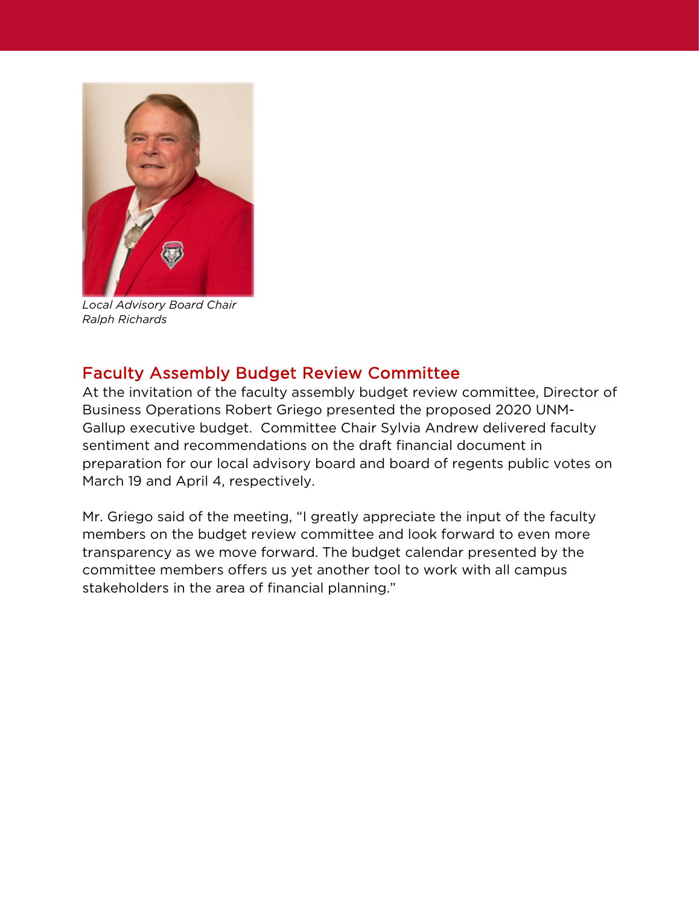

*Local Advisory Board Chair Ralph Richards*

#### Faculty Assembly Budget Review Committee

At the invitation of the faculty assembly budget review committee, Director of Business Operations Robert Griego presented the proposed 2020 UNM-Gallup executive budget. Committee Chair Sylvia Andrew delivered faculty sentiment and recommendations on the draft financial document in preparation for our local advisory board and board of regents public votes on March 19 and April 4, respectively.

Mr. Griego said of the meeting, "I greatly appreciate the input of the faculty members on the budget review committee and look forward to even more transparency as we move forward. The budget calendar presented by the committee members offers us yet another tool to work with all campus stakeholders in the area of financial planning."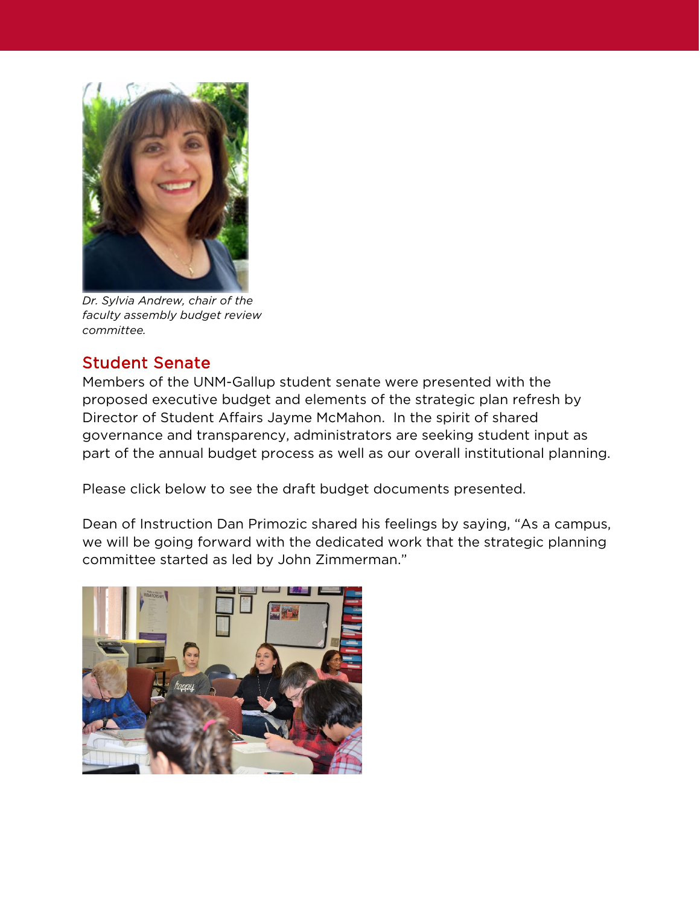

*Dr. Sylvia Andrew, chair of the faculty assembly budget review committee.*

## Student Senate

Members of the UNM-Gallup student senate were presented with the proposed executive budget and elements of the strategic plan refresh by Director of Student Affairs Jayme McMahon. In the spirit of shared governance and transparency, administrators are seeking student input as part of the annual budget process as well as our overall institutional planning.

Please click below to see the draft budget documents presented.

Dean of Instruction Dan Primozic shared his feelings by saying, "As a campus, we will be going forward with the dedicated work that the strategic planning committee started as led by John Zimmerman."

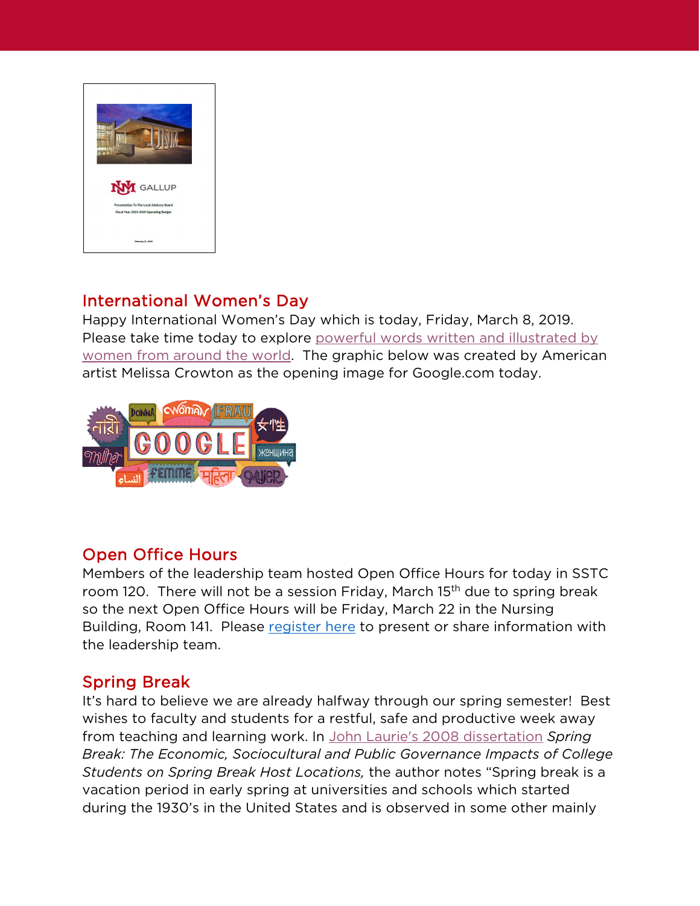

## International Women's Day

Happy International Women's Day which is today, Friday, March 8, 2019. Please take time today to explore powerful words written and illustrated by [women from around the world.](https://www.google.com/doodles/international-womens-day-2019) The graphic below was created by American artist Melissa Crowton as the opening image for Google.com today.



#### Open Office Hours

Members of the leadership team hosted Open Office Hours for today in SSTC room 120. There will not be a session Friday, March 15<sup>th</sup> due to spring break so the next Open Office Hours will be Friday, March 22 in the Nursing Building, Room 141. Please [register here](https://www.gallup.unm.edu/ceo/openofficehours/registration.php?id=8&date=3/22/2019&time=9:00am&loc=GNC-141) to present or share information with the leadership team.

#### Spring Break

It's hard to believe we are already halfway through our spring semester! Best wishes to faculty and students for a restful, safe and productive week away from teaching and learning work. In [John Laurie's 2008 dissertation](https://scholarworks.uno.edu/td/876) *Spring Break: The Economic, Sociocultural and Public Governance Impacts of College Students on Spring Break Host Locations,* the author notes "Spring break is a vacation period in early spring at universities and schools which started during the 1930's in the United States and is observed in some other mainly